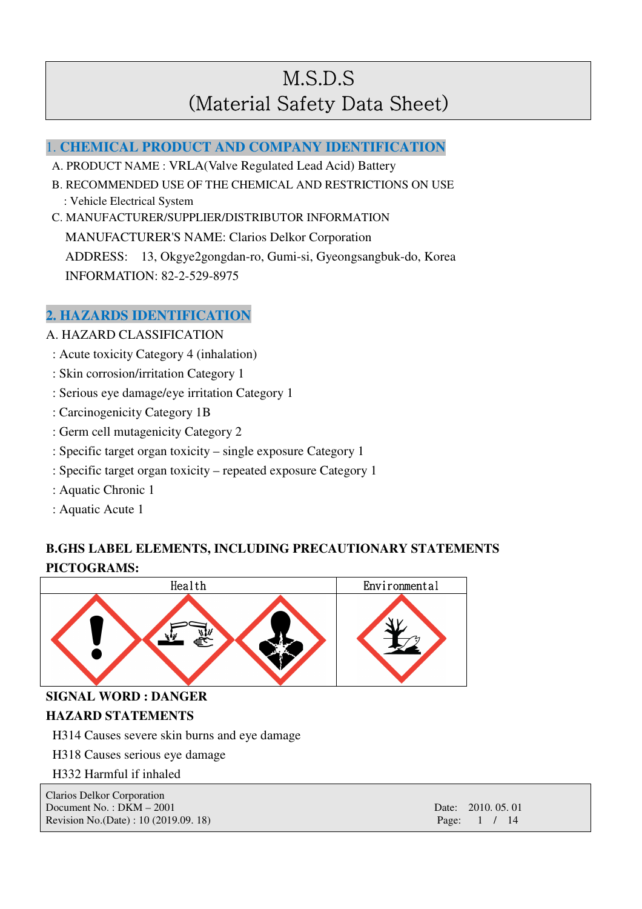## 1. **CHEMICAL PRODUCT AND COMPANY IDENTIFICATION**

- A. PRODUCT NAME : VRLA(Valve Regulated Lead Acid) Battery
- B. RECOMMENDED USE OF THE CHEMICAL AND RESTRICTIONS ON USE
- : Vehicle Electrical System
- C. MANUFACTURER/SUPPLIER/DISTRIBUTOR INFORMATION

MANUFACTURER'S NAME: Clarios Delkor Corporation

ADDRESS: 13, Okgye2gongdan-ro, Gumi-si, Gyeongsangbuk-do, Korea INFORMATION: 82-2-529-8975

## **2. HAZARDS IDENTIFICATION**

- A. HAZARD CLASSIFICATION
	- : Acute toxicity Category 4 (inhalation)
- : Skin corrosion/irritation Category 1
- : Serious eye damage/eye irritation Category 1
- : Carcinogenicity Category 1B
- : Germ cell mutagenicity Category 2
- : Specific target organ toxicity single exposure Category 1
- : Specific target organ toxicity repeated exposure Category 1
- : Aquatic Chronic 1
- : Aquatic Acute 1

# **B.GHS LABEL ELEMENTS, INCLUDING PRECAUTIONARY STATEMENTS PICTOGRAMS:**



**SIGNAL WORD : DANGER** 

### **HAZARD STATEMENTS**

H314 Causes severe skin burns and eye damage

H318 Causes serious eye damage

H332 Harmful if inhaled

| <b>Clarios Delkor Corporation</b>      |                    |
|----------------------------------------|--------------------|
| Document No.: $DKM - 2001$             | Date: 2010, 05, 01 |
| Revision No. (Date) : $10(2019.09.18)$ | Page: $1 / 14$     |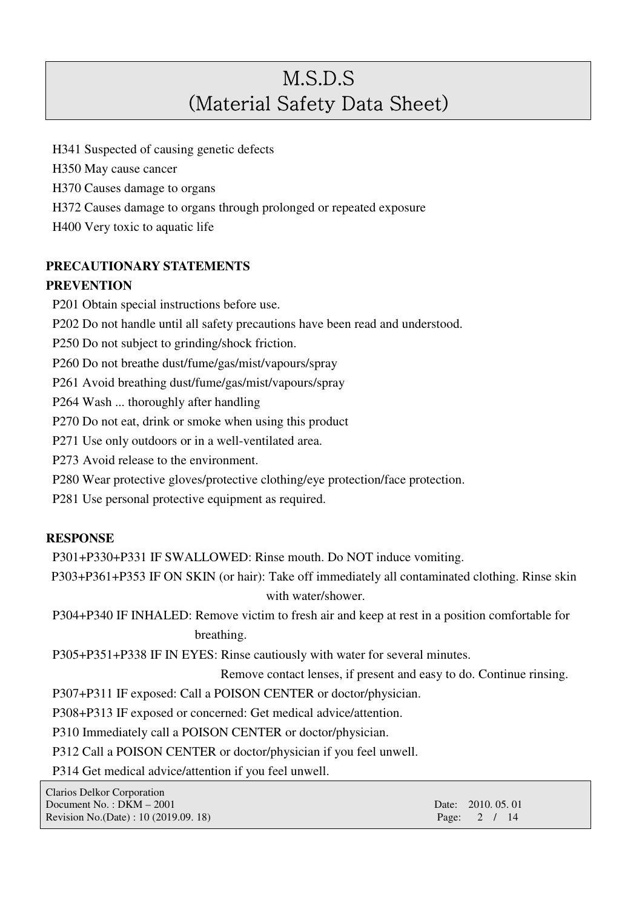H341 Suspected of causing genetic defects

H350 May cause cancer

H370 Causes damage to organs

H372 Causes damage to organs through prolonged or repeated exposure

H400 Very toxic to aquatic life

# **PRECAUTIONARY STATEMENTS**

## **PREVENTION**

P201 Obtain special instructions before use.

P202 Do not handle until all safety precautions have been read and understood.

P250 Do not subject to grinding/shock friction.

P260 Do not breathe dust/fume/gas/mist/vapours/spray

P261 Avoid breathing dust/fume/gas/mist/vapours/spray

P264 Wash ... thoroughly after handling

P270 Do not eat, drink or smoke when using this product

P271 Use only outdoors or in a well-ventilated area.

P273 Avoid release to the environment.

P280 Wear protective gloves/protective clothing/eye protection/face protection.

P281 Use personal protective equipment as required.

## **RESPONSE**

P301+P330+P331 IF SWALLOWED: Rinse mouth. Do NOT induce vomiting.

P303+P361+P353 IF ON SKIN (or hair): Take off immediately all contaminated clothing. Rinse skin with water/shower.

P304+P340 IF INHALED: Remove victim to fresh air and keep at rest in a position comfortable for breathing.

P305+P351+P338 IF IN EYES: Rinse cautiously with water for several minutes.

Remove contact lenses, if present and easy to do. Continue rinsing.

P307+P311 IF exposed: Call a POISON CENTER or doctor/physician.

P308+P313 IF exposed or concerned: Get medical advice/attention.

P310 Immediately call a POISON CENTER or doctor/physician.

P312 Call a POISON CENTER or doctor/physician if you feel unwell.

P314 Get medical advice/attention if you feel unwell.

| Clarios Delkor Corporation             |                    |
|----------------------------------------|--------------------|
| Document No.: $DKM - 2001$             | Date: 2010, 05, 01 |
| Revision No. (Date) : 10 (2019.09. 18) | Page: $2 / 14$     |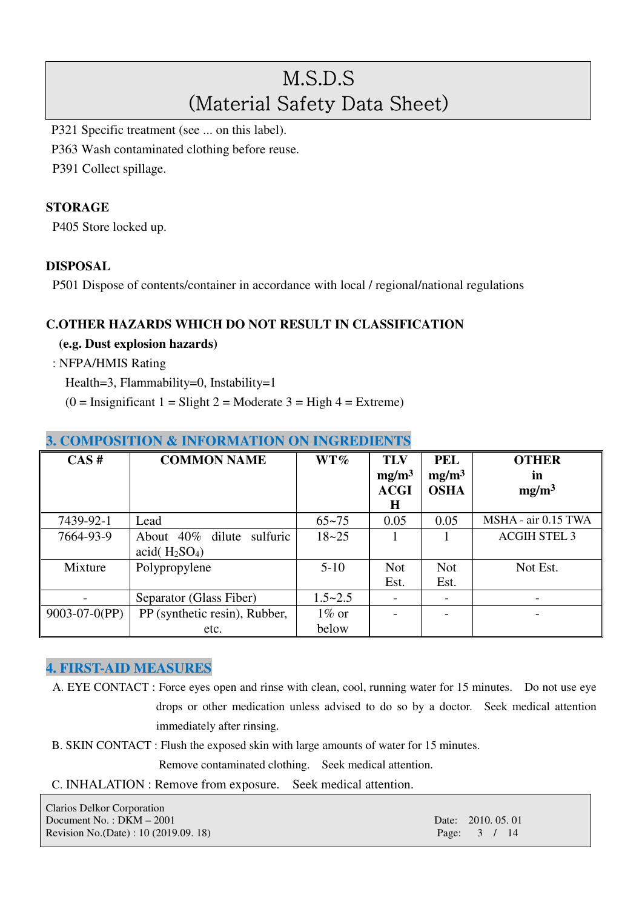P321 Specific treatment (see ... on this label).

P363 Wash contaminated clothing before reuse.

P391 Collect spillage.

### **STORAGE**

P405 Store locked up.

### **DISPOSAL**

P501 Dispose of contents/container in accordance with local / regional/national regulations

### **C.OTHER HAZARDS WHICH DO NOT RESULT IN CLASSIFICATION**

**(e.g. Dust explosion hazards)** 

: NFPA/HMIS Rating

Health=3, Flammability=0, Instability=1

 $(0 = \text{Insignificant 1} = \text{Slight 2} = \text{Modern 3} = \text{High 4} = \text{Extreme})$ 

| CAS#             | <b>COMMON NAME</b>                               | $WT\%$      | <b>TLV</b><br>mg/m <sup>3</sup><br><b>ACGI</b><br>Н | <b>PEL</b><br>mg/m <sup>3</sup><br><b>OSHA</b> | <b>OTHER</b><br><i>in</i><br>mg/m <sup>3</sup> |
|------------------|--------------------------------------------------|-------------|-----------------------------------------------------|------------------------------------------------|------------------------------------------------|
| 7439-92-1        | Lead                                             | $65 - 75$   | 0.05                                                | 0.05                                           | MSHA - air 0.15 TWA                            |
| 7664-93-9        | About 40% dilute<br>sulfuric<br>acid $(H_2SO_4)$ | $18 - 25$   |                                                     |                                                | <b>ACGIH STEL 3</b>                            |
| Mixture          | Polypropylene                                    | $5-10$      | <b>Not</b>                                          | <b>Not</b>                                     | Not Est.                                       |
|                  |                                                  |             | Est.                                                | Est.                                           |                                                |
|                  | Separator (Glass Fiber)                          | $1.5 - 2.5$ |                                                     |                                                |                                                |
| $9003-07-0$ (PP) | PP (synthetic resin), Rubber,                    | $1\%$ or    |                                                     |                                                |                                                |
|                  | etc.                                             | below       |                                                     |                                                |                                                |

## **3. COMPOSITION & INFORMATION ON INGREDIENTS**

### **4. FIRST-AID MEASURES**

- A. EYE CONTACT : Force eyes open and rinse with clean, cool, running water for 15 minutes. Do not use eye drops or other medication unless advised to do so by a doctor. Seek medical attention immediately after rinsing.
- B. SKIN CONTACT : Flush the exposed skin with large amounts of water for 15 minutes.

Remove contaminated clothing. Seek medical attention.

C. INHALATION : Remove from exposure. Seek medical attention.

Clarios Delkor Corporation Document No. : DKM – 2001 **Date: 2010. 05. 01** Date: 2010. 05. 01 Revision No.(Date) : 10 (2019.09. 18) Page: 3 / 14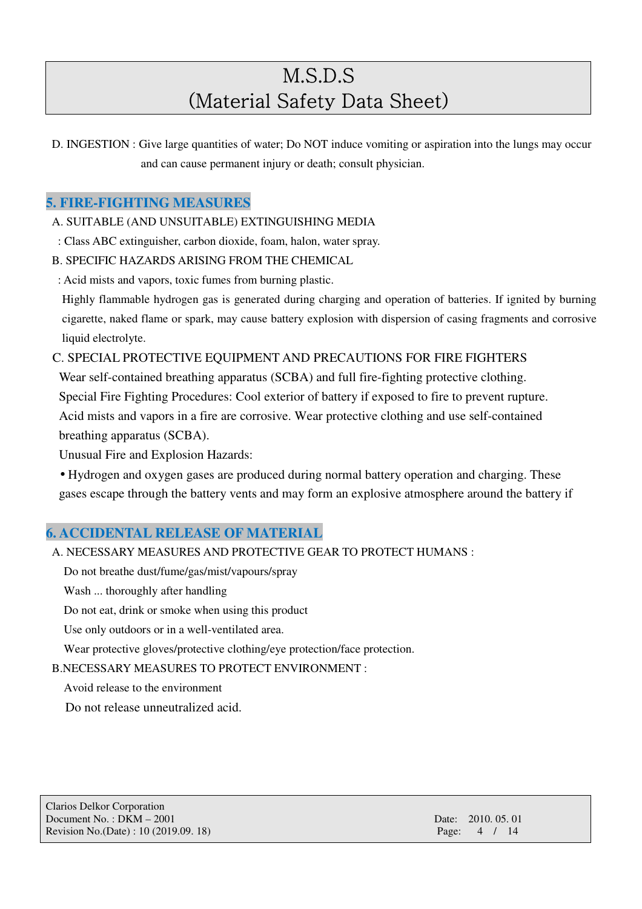D. INGESTION : Give large quantities of water; Do NOT induce vomiting or aspiration into the lungs may occur and can cause permanent injury or death; consult physician.

## **5. FIRE-FIGHTING MEASURES**

A. SUITABLE (AND UNSUITABLE) EXTINGUISHING MEDIA

- : Class ABC extinguisher, carbon dioxide, foam, halon, water spray.
- B. SPECIFIC HAZARDS ARISING FROM THE CHEMICAL
- : Acid mists and vapors, toxic fumes from burning plastic.

Highly flammable hydrogen gas is generated during charging and operation of batteries. If ignited by burning cigarette, naked flame or spark, may cause battery explosion with dispersion of casing fragments and corrosive liquid electrolyte.

C. SPECIAL PROTECTIVE EQUIPMENT AND PRECAUTIONS FOR FIRE FIGHTERS

Wear self-contained breathing apparatus (SCBA) and full fire-fighting protective clothing.

Special Fire Fighting Procedures: Cool exterior of battery if exposed to fire to prevent rupture.

Acid mists and vapors in a fire are corrosive. Wear protective clothing and use self-contained breathing apparatus (SCBA).

Unusual Fire and Explosion Hazards:

• Hydrogen and oxygen gases are produced during normal battery operation and charging. These gases escape through the battery vents and may form an explosive atmosphere around the battery if

## **6. ACCIDENTAL RELEASE OF MATERIAL**

- A. NECESSARY MEASURES AND PROTECTIVE GEAR TO PROTECT HUMANS :
	- Do not breathe dust/fume/gas/mist/vapours/spray

Wash ... thoroughly after handling

Do not eat, drink or smoke when using this product

Use only outdoors or in a well-ventilated area.

Wear protective gloves/protective clothing/eye protection/face protection.

B.NECESSARY MEASURES TO PROTECT ENVIRONMENT :

Avoid release to the environment

Do not release unneutralized acid.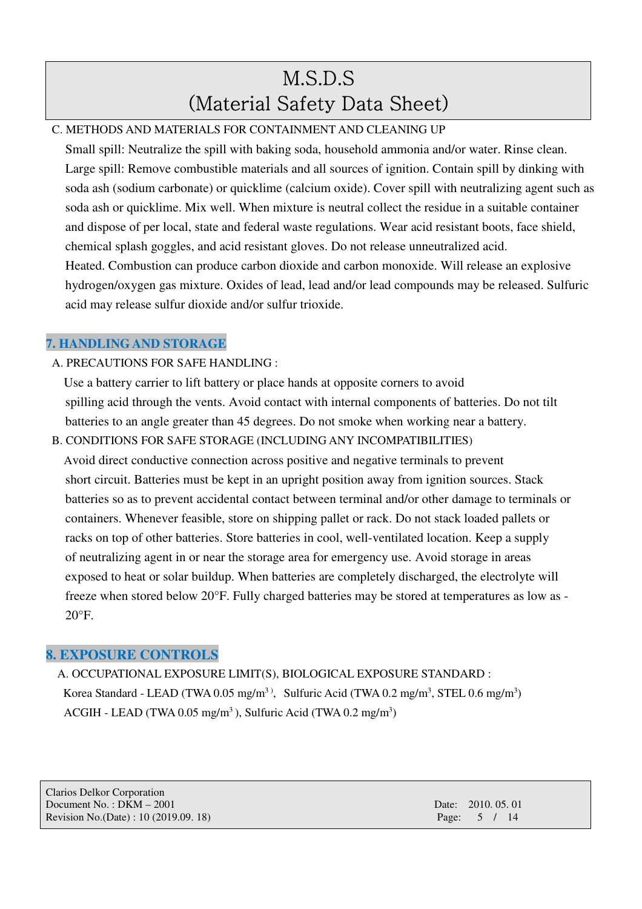## C. METHODS AND MATERIALS FOR CONTAINMENT AND CLEANING UP

Small spill: Neutralize the spill with baking soda, household ammonia and/or water. Rinse clean. Large spill: Remove combustible materials and all sources of ignition. Contain spill by dinking with soda ash (sodium carbonate) or quicklime (calcium oxide). Cover spill with neutralizing agent such as soda ash or quicklime. Mix well. When mixture is neutral collect the residue in a suitable container and dispose of per local, state and federal waste regulations. Wear acid resistant boots, face shield, chemical splash goggles, and acid resistant gloves. Do not release unneutralized acid. Heated. Combustion can produce carbon dioxide and carbon monoxide. Will release an explosive hydrogen/oxygen gas mixture. Oxides of lead, lead and/or lead compounds may be released. Sulfuric acid may release sulfur dioxide and/or sulfur trioxide.

## **7. HANDLING AND STORAGE**

## A. PRECAUTIONS FOR SAFE HANDLING :

Use a battery carrier to lift battery or place hands at opposite corners to avoid spilling acid through the vents. Avoid contact with internal components of batteries. Do not tilt batteries to an angle greater than 45 degrees. Do not smoke when working near a battery.

B. CONDITIONS FOR SAFE STORAGE (INCLUDING ANY INCOMPATIBILITIES) Avoid direct conductive connection across positive and negative terminals to prevent short circuit. Batteries must be kept in an upright position away from ignition sources. Stack batteries so as to prevent accidental contact between terminal and/or other damage to terminals or containers. Whenever feasible, store on shipping pallet or rack. Do not stack loaded pallets or racks on top of other batteries. Store batteries in cool, well-ventilated location. Keep a supply of neutralizing agent in or near the storage area for emergency use. Avoid storage in areas exposed to heat or solar buildup. When batteries are completely discharged, the electrolyte will freeze when stored below 20°F. Fully charged batteries may be stored at temperatures as low as -  $20^{\circ}$ F.

## **8. EXPOSURE CONTROLS**

A. OCCUPATIONAL EXPOSURE LIMIT(S), BIOLOGICAL EXPOSURE STANDARD : Korea Standard - LEAD (TWA 0.05 mg/m<sup>3)</sup>, Sulfuric Acid (TWA 0.2 mg/m<sup>3</sup>, STEL 0.6 mg/m<sup>3</sup>) ACGIH - LEAD (TWA  $0.05 \text{ mg/m}^3$ ), Sulfuric Acid (TWA  $0.2 \text{ mg/m}^3$ )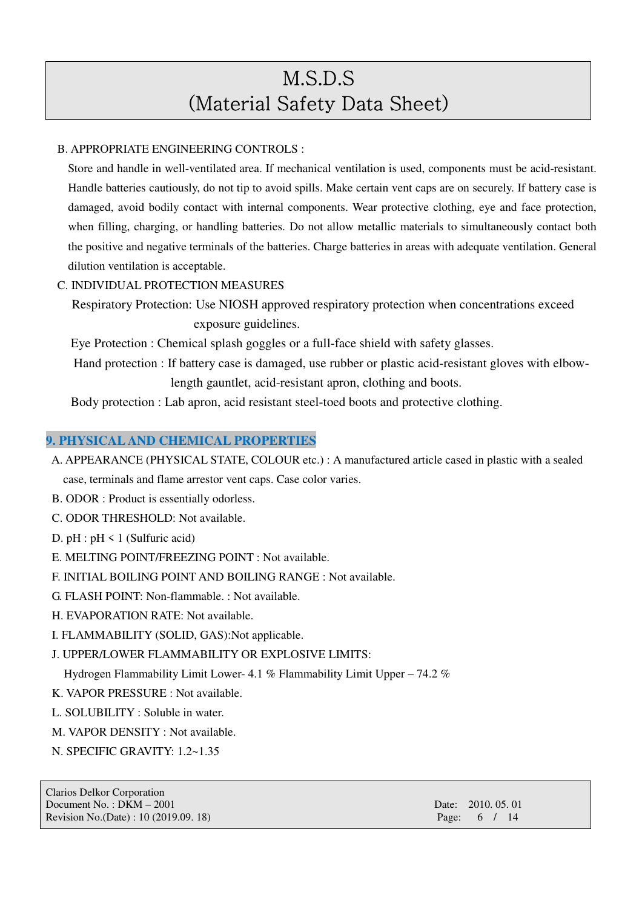#### B. APPROPRIATE ENGINEERING CONTROLS :

 Store and handle in well-ventilated area. If mechanical ventilation is used, components must be acid-resistant. Handle batteries cautiously, do not tip to avoid spills. Make certain vent caps are on securely. If battery case is damaged, avoid bodily contact with internal components. Wear protective clothing, eye and face protection, when filling, charging, or handling batteries. Do not allow metallic materials to simultaneously contact both the positive and negative terminals of the batteries. Charge batteries in areas with adequate ventilation. General dilution ventilation is acceptable.

### C. INDIVIDUAL PROTECTION MEASURES

Respiratory Protection: Use NIOSH approved respiratory protection when concentrations exceed exposure guidelines.

Eye Protection : Chemical splash goggles or a full-face shield with safety glasses.

Hand protection : If battery case is damaged, use rubber or plastic acid-resistant gloves with elbowlength gauntlet, acid-resistant apron, clothing and boots.

Body protection : Lab apron, acid resistant steel-toed boots and protective clothing.

#### **9. PHYSICAL AND CHEMICAL PROPERTIES**

- A. APPEARANCE (PHYSICAL STATE, COLOUR etc.) : A manufactured article cased in plastic with a sealed case, terminals and flame arrestor vent caps. Case color varies.
- B. ODOR : Product is essentially odorless.
- C. ODOR THRESHOLD: Not available.
- D.  $pH : pH \le 1$  (Sulfuric acid)
- E. MELTING POINT/FREEZING POINT : Not available.
- F. INITIAL BOILING POINT AND BOILING RANGE : Not available.
- G. FLASH POINT: Non-flammable. : Not available.
- H. EVAPORATION RATE: Not available.
- I. FLAMMABILITY (SOLID, GAS):Not applicable.

### J. UPPER/LOWER FLAMMABILITY OR EXPLOSIVE LIMITS:

Hydrogen Flammability Limit Lower- 4.1 % Flammability Limit Upper – 74.2 %

- K. VAPOR PRESSURE : Not available.
- L. SOLUBILITY : Soluble in water.
- M. VAPOR DENSITY : Not available.
- N. SPECIFIC GRAVITY: 1.2~1.35

Clarios Delkor Corporation Document No.: DKM – 2001 **Date: 2010. 05. 01** Date: 2010. 05. 01 Revision No.(Date) : 10 (2019.09. 18) Page: 6 / 14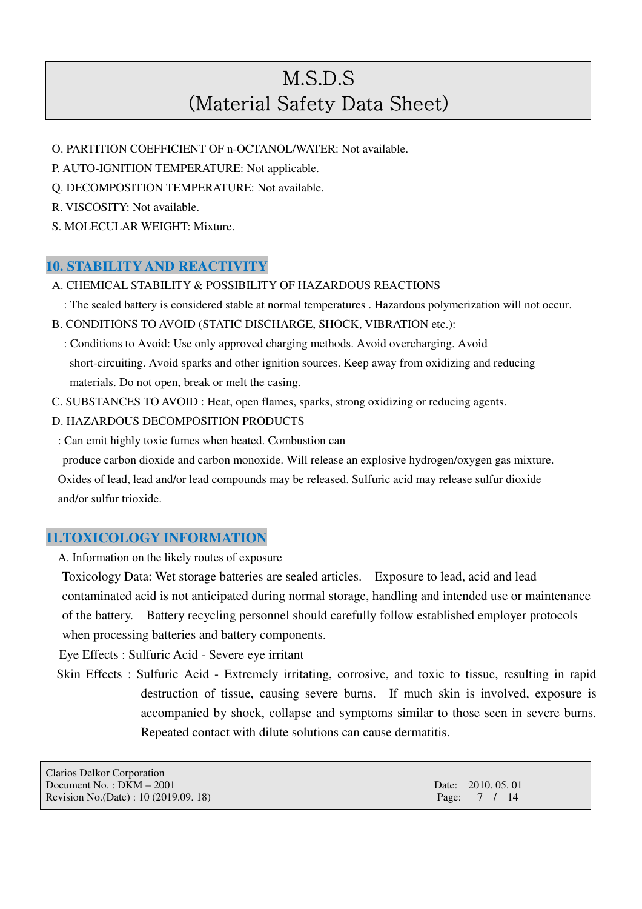- O. PARTITION COEFFICIENT OF n-OCTANOL/WATER: Not available.
- P. AUTO-IGNITION TEMPERATURE: Not applicable.
- Q. DECOMPOSITION TEMPERATURE: Not available.
- R. VISCOSITY: Not available.
- S. MOLECULAR WEIGHT: Mixture.

## **10. STABILITY AND REACTIVITY**

- A. CHEMICAL STABILITY & POSSIBILITY OF HAZARDOUS REACTIONS
	- : The sealed battery is considered stable at normal temperatures . Hazardous polymerization will not occur.
- B. CONDITIONS TO AVOID (STATIC DISCHARGE, SHOCK, VIBRATION etc.):
	- : Conditions to Avoid: Use only approved charging methods. Avoid overcharging. Avoid short-circuiting. Avoid sparks and other ignition sources. Keep away from oxidizing and reducing materials. Do not open, break or melt the casing.
- C. SUBSTANCES TO AVOID : Heat, open flames, sparks, strong oxidizing or reducing agents.
- D. HAZARDOUS DECOMPOSITION PRODUCTS
- : Can emit highly toxic fumes when heated. Combustion can

produce carbon dioxide and carbon monoxide. Will release an explosive hydrogen/oxygen gas mixture. Oxides of lead, lead and/or lead compounds may be released. Sulfuric acid may release sulfur dioxide and/or sulfur trioxide.

## **11.TOXICOLOGY INFORMATION**

A. Information on the likely routes of exposure

Toxicology Data: Wet storage batteries are sealed articles. Exposure to lead, acid and lead contaminated acid is not anticipated during normal storage, handling and intended use or maintenance of the battery. Battery recycling personnel should carefully follow established employer protocols when processing batteries and battery components.

Eye Effects : Sulfuric Acid - Severe eye irritant

Skin Effects : Sulfuric Acid - Extremely irritating, corrosive, and toxic to tissue, resulting in rapid destruction of tissue, causing severe burns. If much skin is involved, exposure is accompanied by shock, collapse and symptoms similar to those seen in severe burns. Repeated contact with dilute solutions can cause dermatitis.

| Clarios Delkor Corporation            |                    |
|---------------------------------------|--------------------|
| Document No.: $DKM - 2001$            | Date: 2010, 05, 01 |
| Revision No.(Date) : 10 (2019.09. 18) | Page: $7 / 14$     |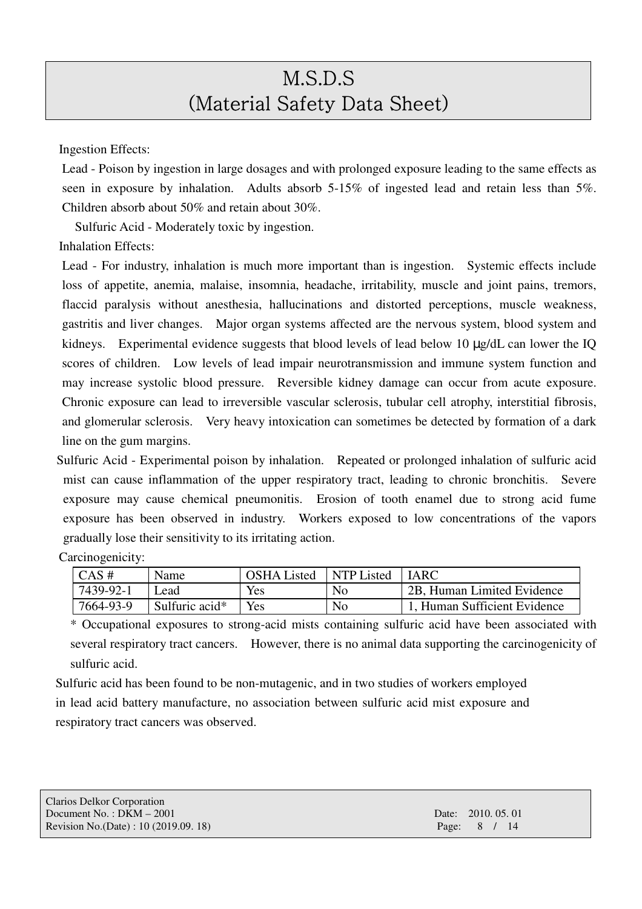Ingestion Effects:

Lead - Poison by ingestion in large dosages and with prolonged exposure leading to the same effects as seen in exposure by inhalation. Adults absorb 5-15% of ingested lead and retain less than 5%. Children absorb about 50% and retain about 30%.

Sulfuric Acid - Moderately toxic by ingestion.

Inhalation Effects:

Carcinogenicity:

Lead - For industry, inhalation is much more important than is ingestion. Systemic effects include loss of appetite, anemia, malaise, insomnia, headache, irritability, muscle and joint pains, tremors, flaccid paralysis without anesthesia, hallucinations and distorted perceptions, muscle weakness, gastritis and liver changes. Major organ systems affected are the nervous system, blood system and kidneys. Experimental evidence suggests that blood levels of lead below 10 µg/dL can lower the IQ scores of children. Low levels of lead impair neurotransmission and immune system function and may increase systolic blood pressure. Reversible kidney damage can occur from acute exposure. Chronic exposure can lead to irreversible vascular sclerosis, tubular cell atrophy, interstitial fibrosis, and glomerular sclerosis. Very heavy intoxication can sometimes be detected by formation of a dark line on the gum margins.

Sulfuric Acid - Experimental poison by inhalation. Repeated or prolonged inhalation of sulfuric acid mist can cause inflammation of the upper respiratory tract, leading to chronic bronchitis. Severe exposure may cause chemical pneumonitis. Erosion of tooth enamel due to strong acid fume exposure has been observed in industry. Workers exposed to low concentrations of the vapors gradually lose their sensitivity to its irritating action.

| $\cdots$           |                |                    |            |                                         |
|--------------------|----------------|--------------------|------------|-----------------------------------------|
| $\overline{CAS}$ # | Name           | <b>OSHA</b> Listed | NTP Listed | <b>IARC</b>                             |
| 7439-92-1          | Lead           | Yes                | No         | <sup>1</sup> 2B, Human Limited Evidence |
| 7664-93-9          | Sulfuric acid* | Yes                | No         | 1, Human Sufficient Evidence            |

\* Occupational exposures to strong-acid mists containing sulfuric acid have been associated with several respiratory tract cancers. However, there is no animal data supporting the carcinogenicity of sulfuric acid.

Sulfuric acid has been found to be non-mutagenic, and in two studies of workers employed in lead acid battery manufacture, no association between sulfuric acid mist exposure and respiratory tract cancers was observed.

| Clarios Delkor Corporation            |                    |
|---------------------------------------|--------------------|
| Document No.: $DKM - 2001$            | Date: 2010, 05, 01 |
| Revision No.(Date) : 10 (2019.09. 18) | Page: $8 / 14$     |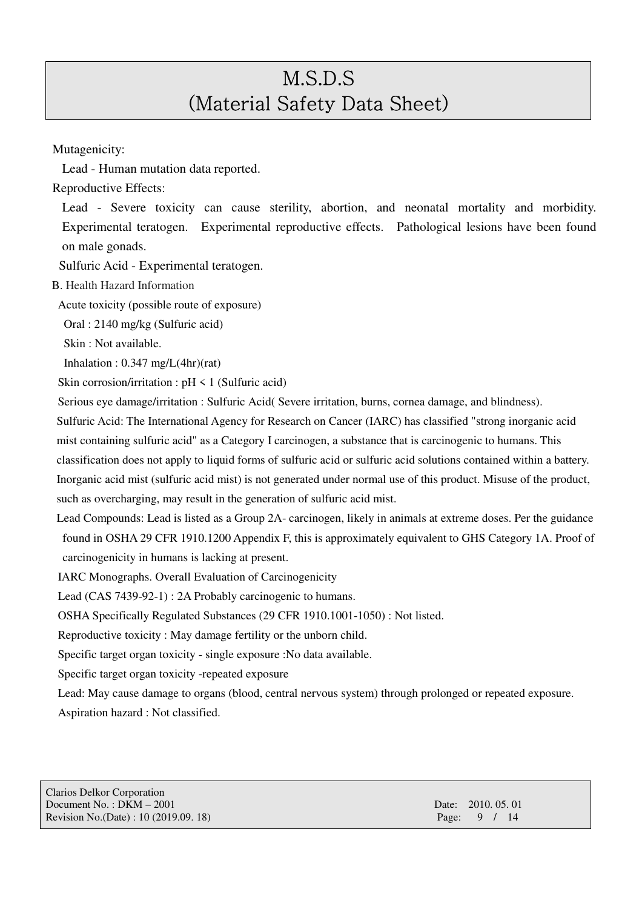Mutagenicity:

Lead - Human mutation data reported.

Reproductive Effects:

Lead - Severe toxicity can cause sterility, abortion, and neonatal mortality and morbidity. Experimental teratogen. Experimental reproductive effects. Pathological lesions have been found on male gonads.

Sulfuric Acid - Experimental teratogen.

B. Health Hazard Information

Acute toxicity (possible route of exposure)

Oral : 2140 mg/kg (Sulfuric acid)

Skin : Not available.

Inhalation : 0.347 mg/L(4hr)(rat)

Skin corrosion/irritation :  $pH \le 1$  (Sulfuric acid)

Serious eye damage/irritation : Sulfuric Acid( Severe irritation, burns, cornea damage, and blindness).

Sulfuric Acid: The International Agency for Research on Cancer (IARC) has classified "strong inorganic acid mist containing sulfuric acid" as a Category I carcinogen, a substance that is carcinogenic to humans. This classification does not apply to liquid forms of sulfuric acid or sulfuric acid solutions contained within a battery. Inorganic acid mist (sulfuric acid mist) is not generated under normal use of this product. Misuse of the product, such as overcharging, may result in the generation of sulfuric acid mist.

Lead Compounds: Lead is listed as a Group 2A- carcinogen, likely in animals at extreme doses. Per the guidance found in OSHA 29 CFR 1910.1200 Appendix F, this is approximately equivalent to GHS Category 1A. Proof of carcinogenicity in humans is lacking at present.

IARC Monographs. Overall Evaluation of Carcinogenicity

Lead (CAS 7439-92-1) : 2A Probably carcinogenic to humans.

OSHA Specifically Regulated Substances (29 CFR 1910.1001-1050) : Not listed.

Reproductive toxicity : May damage fertility or the unborn child.

Specific target organ toxicity - single exposure :No data available.

Specific target organ toxicity -repeated exposure

Lead: May cause damage to organs (blood, central nervous system) through prolonged or repeated exposure. Aspiration hazard : Not classified.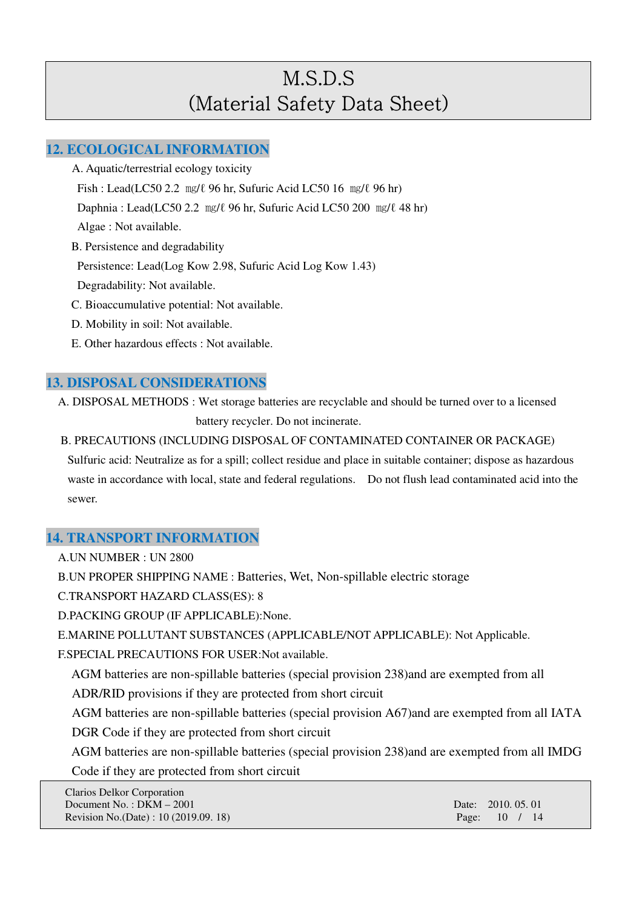## **12. ECOLOGICAL INFORMATION**

- A. Aquatic/terrestrial ecology toxicity Fish : Lead(LC50 2.2 ㎎/ℓ 96 hr, Sufuric Acid LC50 16 ㎎/ℓ 96 hr) Daphnia : Lead(LC50 2.2  $\text{mg}/\ell$  96 hr, Sufuric Acid LC50 200  $\text{mg}/\ell$  48 hr) Algae : Not available. B. Persistence and degradability Persistence: Lead(Log Kow 2.98, Sufuric Acid Log Kow 1.43) Degradability: Not available. C. Bioaccumulative potential: Not available. D. Mobility in soil: Not available.
- E. Other hazardous effects : Not available.

## **13. DISPOSAL CONSIDERATIONS**

A. DISPOSAL METHODS : Wet storage batteries are recyclable and should be turned over to a licensed battery recycler. Do not incinerate.

B. PRECAUTIONS (INCLUDING DISPOSAL OF CONTAMINATED CONTAINER OR PACKAGE) Sulfuric acid: Neutralize as for a spill; collect residue and place in suitable container; dispose as hazardous waste in accordance with local, state and federal regulations. Do not flush lead contaminated acid into the sewer.

## **14. TRANSPORT INFORMATION**

A.UN NUMBER : UN 2800

B.UN PROPER SHIPPING NAME : Batteries, Wet, Non-spillable electric storage

C.TRANSPORT HAZARD CLASS(ES): 8

D.PACKING GROUP (IF APPLICABLE):None.

E.MARINE POLLUTANT SUBSTANCES (APPLICABLE/NOT APPLICABLE): Not Applicable.

F.SPECIAL PRECAUTIONS FOR USER:Not available.

AGM batteries are non-spillable batteries (special provision 238)and are exempted from all

ADR/RID provisions if they are protected from short circuit

 AGM batteries are non-spillable batteries (special provision A67)and are exempted from all IATA DGR Code if they are protected from short circuit

AGM batteries are non-spillable batteries (special provision 238)and are exempted from all IMDG Code if they are protected from short circuit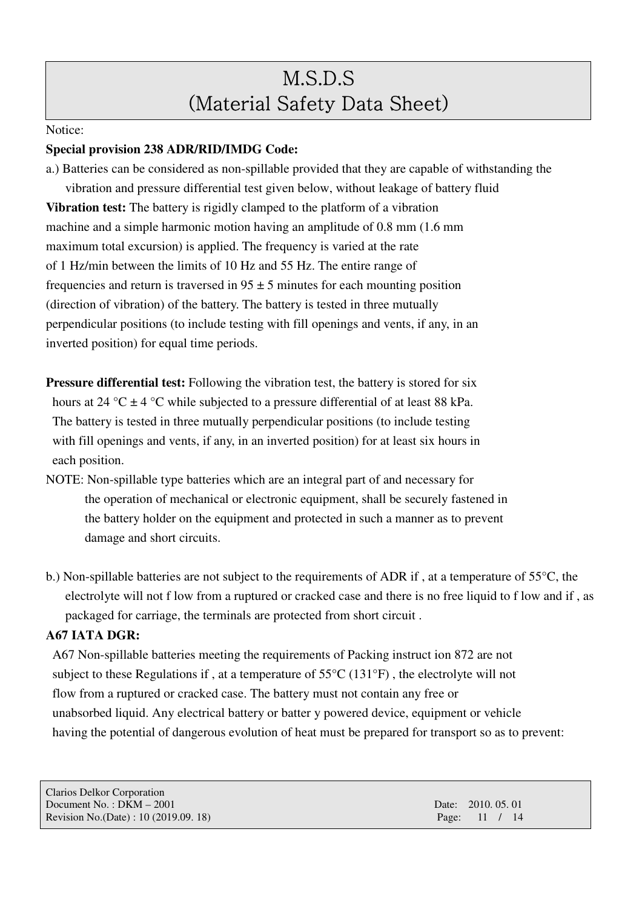#### Notice:

### **Special provision 238 ADR/RID/IMDG Code:**

a.) Batteries can be considered as non-spillable provided that they are capable of withstanding the vibration and pressure differential test given below, without leakage of battery fluid **Vibration test:** The battery is rigidly clamped to the platform of a vibration machine and a simple harmonic motion having an amplitude of 0.8 mm (1.6 mm maximum total excursion) is applied. The frequency is varied at the rate of 1 Hz/min between the limits of 10 Hz and 55 Hz. The entire range of frequencies and return is traversed in  $95 \pm 5$  minutes for each mounting position (direction of vibration) of the battery. The battery is tested in three mutually perpendicular positions (to include testing with fill openings and vents, if any, in an inverted position) for equal time periods.

**Pressure differential test:** Following the vibration test, the battery is stored for six hours at 24 °C  $\pm$  4 °C while subjected to a pressure differential of at least 88 kPa. The battery is tested in three mutually perpendicular positions (to include testing with fill openings and vents, if any, in an inverted position) for at least six hours in each position.

- NOTE: Non-spillable type batteries which are an integral part of and necessary for the operation of mechanical or electronic equipment, shall be securely fastened in the battery holder on the equipment and protected in such a manner as to prevent damage and short circuits.
- b.) Non-spillable batteries are not subject to the requirements of ADR if , at a temperature of 55°C, the electrolyte will not f low from a ruptured or cracked case and there is no free liquid to f low and if , as packaged for carriage, the terminals are protected from short circuit .

### **A67 IATA DGR:**

A67 Non-spillable batteries meeting the requirements of Packing instruct ion 872 are not subject to these Regulations if , at a temperature of 55°C (131°F) , the electrolyte will not flow from a ruptured or cracked case. The battery must not contain any free or unabsorbed liquid. Any electrical battery or batter y powered device, equipment or vehicle having the potential of dangerous evolution of heat must be prepared for transport so as to prevent: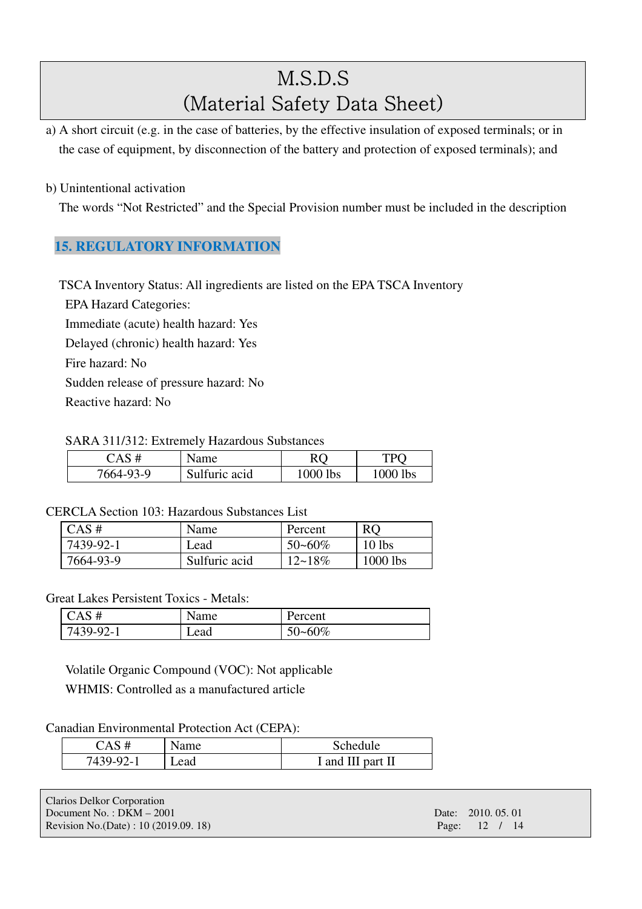a) A short circuit (e.g. in the case of batteries, by the effective insulation of exposed terminals; or in the case of equipment, by disconnection of the battery and protection of exposed terminals); and

### b) Unintentional activation

The words "Not Restricted" and the Special Provision number must be included in the description

## **15. REGULATORY INFORMATION**

TSCA Inventory Status: All ingredients are listed on the EPA TSCA Inventory

EPA Hazard Categories: Immediate (acute) health hazard: Yes Delayed (chronic) health hazard: Yes Fire hazard: No Sudden release of pressure hazard: No Reactive hazard: No

#### SARA 311/312: Extremely Hazardous Substances

| $\Delta S$ # | Name          | RÇ       | TÞC      |
|--------------|---------------|----------|----------|
| 7664-93-9    | Sulfuric acid | 1000 lbs | 1000 lbs |

### CERCLA Section 103: Hazardous Substances List

| CAS#      | Name          | Percent     | <b>RO</b>  |
|-----------|---------------|-------------|------------|
| 7439-92-1 | Lead          | $50 - 60\%$ | $10$ lbs   |
| 7664-93-9 | Sulfuric acid | $12 - 18\%$ | $1000$ lbs |

### Great Lakes Persistent Toxics - Metals:

| CAS#      | Name | Percent |
|-----------|------|---------|
| 7439-92-1 | Lead | 50~60%  |

Volatile Organic Compound (VOC): Not applicable WHMIS: Controlled as a manufactured article

#### Canadian Environmental Protection Act (CEPA):

| 7 A S #        | Name | Schedule          |
|----------------|------|-------------------|
| 92.<br>7439-9. | Lead | I and III part II |

| Clarios Delkor Corporation           |                    |  |
|--------------------------------------|--------------------|--|
| Document No.: $DKM - 2001$           | Date: 2010, 05, 01 |  |
| Revision No.(Date): 10 (2019.09. 18) | Page: 12 / 14      |  |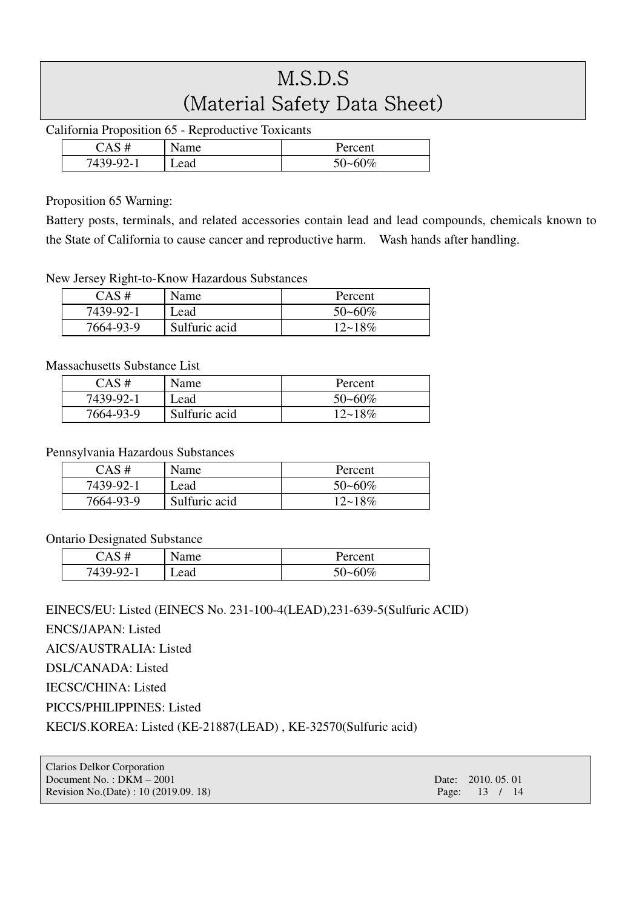California Proposition 65 - Reproductive Toxicants

| #<br>А          | Name | Percent     |
|-----------------|------|-------------|
| 7439-<br>. 2- L | Lead | $50 - 60\%$ |

### Proposition 65 Warning:

Battery posts, terminals, and related accessories contain lead and lead compounds, chemicals known to the State of California to cause cancer and reproductive harm. Wash hands after handling.

### New Jersey Right-to-Know Hazardous Substances

| CAS#      | Name          | Percent     |
|-----------|---------------|-------------|
| 7439-92-1 | Lead          | $50 - 60\%$ |
| 7664-93-9 | Sulfuric acid | $12 - 18\%$ |

### Massachusetts Substance List

| $CAS \#$  | Name          | Percent     |
|-----------|---------------|-------------|
| 7439-92-1 | Lead          | $50 - 60\%$ |
| 7664-93-9 | Sulfuric acid | $12 - 18\%$ |

### Pennsylvania Hazardous Substances

| $CAS \#$  | Name          | Percent     |
|-----------|---------------|-------------|
| 7439-92-1 | Lead          | $50 - 60\%$ |
| 7664-93-9 | Sulfuric acid | $12 - 18\%$ |

### Ontario Designated Substance

|           | vame | Percent     |
|-----------|------|-------------|
| $7439-92$ | Lead | $50 - 60\%$ |

## EINECS/EU: Listed (EINECS No. 231-100-4(LEAD),231-639-5(Sulfuric ACID)

ENCS/JAPAN: Listed

AICS/AUSTRALIA: Listed

DSL/CANADA: Listed

IECSC/CHINA: Listed

PICCS/PHILIPPINES: Listed

KECI/S.KOREA: Listed (KE-21887(LEAD) , KE-32570(Sulfuric acid)

| Clarios Delkor Corporation            |                    |
|---------------------------------------|--------------------|
| Document No.: $DKM - 2001$            | Date: 2010, 05, 01 |
| Revision No.(Date) : 10 (2019.09. 18) | Page: 13 / 14      |